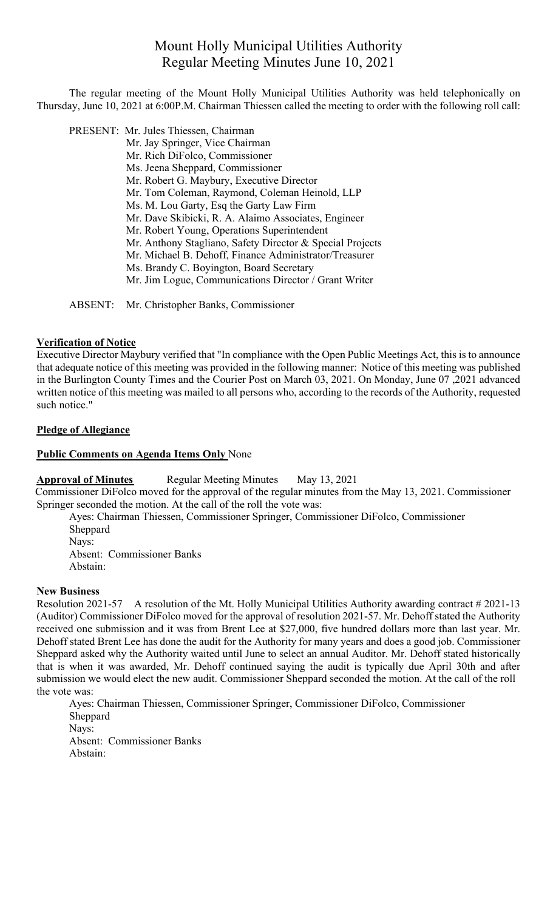# Mount Holly Municipal Utilities Authority Regular Meeting Minutes June 10, 2021

The regular meeting of the Mount Holly Municipal Utilities Authority was held telephonically on Thursday, June 10, 2021 at 6:00P.M. Chairman Thiessen called the meeting to order with the following roll call:

PRESENT: Mr. Jules Thiessen, Chairman

Mr. Jay Springer, Vice Chairman Mr. Rich DiFolco, Commissioner Ms. Jeena Sheppard, Commissioner Mr. Robert G. Maybury, Executive Director Mr. Tom Coleman, Raymond, Coleman Heinold, LLP Ms. M. Lou Garty, Esq the Garty Law Firm Mr. Dave Skibicki, R. A. Alaimo Associates, Engineer Mr. Robert Young, Operations Superintendent Mr. Anthony Stagliano, Safety Director & Special Projects Mr. Michael B. Dehoff, Finance Administrator/Treasurer Ms. Brandy C. Boyington, Board Secretary Mr. Jim Logue, Communications Director / Grant Writer

ABSENT: Mr. Christopher Banks, Commissioner

#### **Verification of Notice**

Executive Director Maybury verified that "In compliance with the Open Public Meetings Act, this is to announce that adequate notice of this meeting was provided in the following manner: Notice of this meeting was published in the Burlington County Times and the Courier Post on March 03, 2021. On Monday, June 07 ,2021 advanced written notice of this meeting was mailed to all persons who, according to the records of the Authority, requested such notice."

## **Pledge of Allegiance**

### **Public Comments on Agenda Items Only** None

## **Approval of Minutes** Regular Meeting Minutes May 13, 2021

Commissioner DiFolco moved for the approval of the regular minutes from the May 13, 2021. Commissioner Springer seconded the motion. At the call of the roll the vote was:

Ayes: Chairman Thiessen, Commissioner Springer, Commissioner DiFolco, Commissioner Sheppard Nays: Absent: Commissioner Banks Abstain:

#### **New Business**

Resolution 2021-57 A resolution of the Mt. Holly Municipal Utilities Authority awarding contract # 2021-13 (Auditor) Commissioner DiFolco moved for the approval of resolution 2021-57. Mr. Dehoff stated the Authority received one submission and it was from Brent Lee at \$27,000, five hundred dollars more than last year. Mr. Dehoff stated Brent Lee has done the audit for the Authority for many years and does a good job. Commissioner Sheppard asked why the Authority waited until June to select an annual Auditor. Mr. Dehoff stated historically that is when it was awarded, Mr. Dehoff continued saying the audit is typically due April 30th and after submission we would elect the new audit. Commissioner Sheppard seconded the motion. At the call of the roll the vote was:

Ayes: Chairman Thiessen, Commissioner Springer, Commissioner DiFolco, Commissioner Sheppard Nays: Absent: Commissioner Banks Abstain: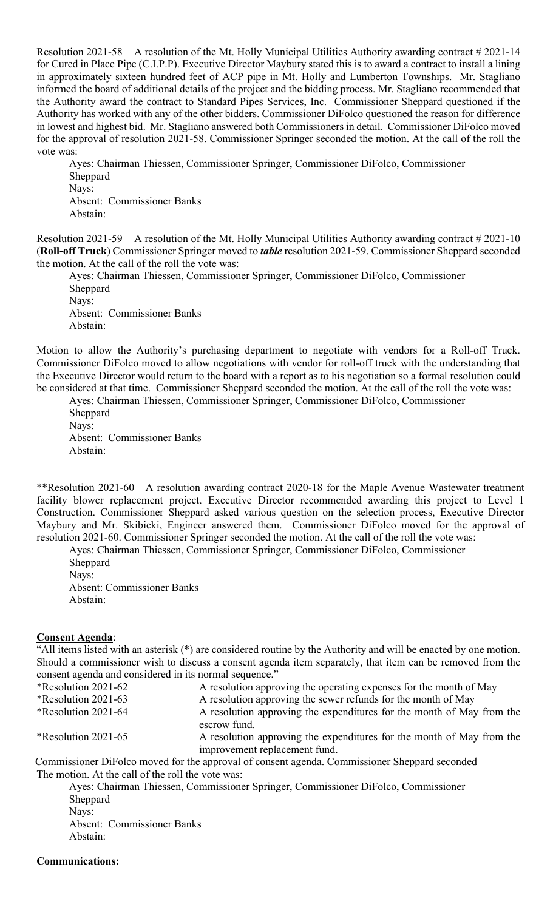Resolution 2021-58 A resolution of the Mt. Holly Municipal Utilities Authority awarding contract # 2021-14 for Cured in Place Pipe (C.I.P.P). Executive Director Maybury stated this is to award a contract to install a lining in approximately sixteen hundred feet of ACP pipe in Mt. Holly and Lumberton Townships. Mr. Stagliano informed the board of additional details of the project and the bidding process. Mr. Stagliano recommended that the Authority award the contract to Standard Pipes Services, Inc. Commissioner Sheppard questioned if the Authority has worked with any of the other bidders. Commissioner DiFolco questioned the reason for difference in lowest and highest bid. Mr. Stagliano answered both Commissioners in detail. Commissioner DiFolco moved for the approval of resolution 2021-58. Commissioner Springer seconded the motion. At the call of the roll the vote was:

Ayes: Chairman Thiessen, Commissioner Springer, Commissioner DiFolco, Commissioner Sheppard Nays: Absent: Commissioner Banks Abstain:

Resolution 2021-59 A resolution of the Mt. Holly Municipal Utilities Authority awarding contract # 2021-10 (**Roll-off Truck**) Commissioner Springer moved to *table* resolution 2021-59. Commissioner Sheppard seconded the motion. At the call of the roll the vote was:

Ayes: Chairman Thiessen, Commissioner Springer, Commissioner DiFolco, Commissioner Sheppard Nays: Absent: Commissioner Banks Abstain:

Motion to allow the Authority's purchasing department to negotiate with vendors for a Roll-off Truck. Commissioner DiFolco moved to allow negotiations with vendor for roll-off truck with the understanding that the Executive Director would return to the board with a report as to his negotiation so a formal resolution could be considered at that time. Commissioner Sheppard seconded the motion. At the call of the roll the vote was:

Ayes: Chairman Thiessen, Commissioner Springer, Commissioner DiFolco, Commissioner Sheppard Nays: Absent: Commissioner Banks Abstain:

\*\*Resolution 2021-60 A resolution awarding contract 2020-18 for the Maple Avenue Wastewater treatment facility blower replacement project. Executive Director recommended awarding this project to Level 1 Construction. Commissioner Sheppard asked various question on the selection process, Executive Director Maybury and Mr. Skibicki, Engineer answered them. Commissioner DiFolco moved for the approval of resolution 2021-60. Commissioner Springer seconded the motion. At the call of the roll the vote was:

Ayes: Chairman Thiessen, Commissioner Springer, Commissioner DiFolco, Commissioner Sheppard Nays:

Absent: Commissioner Banks Abstain:

#### **Consent Agenda**:

"All items listed with an asterisk (\*) are considered routine by the Authority and will be enacted by one motion. Should a commissioner wish to discuss a consent agenda item separately, that item can be removed from the consent agenda and considered in its normal sequence."

| *Resolution 2021-62                               | A resolution approving the operating expenses for the month of May                                     |
|---------------------------------------------------|--------------------------------------------------------------------------------------------------------|
| *Resolution 2021-63                               | A resolution approving the sewer refunds for the month of May                                          |
| *Resolution 2021-64                               | A resolution approving the expenditures for the month of May from the<br>escrow fund.                  |
| *Resolution 2021-65                               | A resolution approving the expenditures for the month of May from the<br>improvement replacement fund. |
|                                                   | Commissioner DiFolco moved for the approval of consent agenda. Commissioner Sheppard seconded          |
| The motion. At the call of the roll the vote was: |                                                                                                        |
|                                                   | Ayes: Chairman Thiessen, Commissioner Springer, Commissioner DiFolco, Commissioner                     |
| Sheppard                                          |                                                                                                        |
| Nays:                                             |                                                                                                        |
| <b>Absent: Commissioner Banks</b>                 |                                                                                                        |

Abstain:

**Communications:**